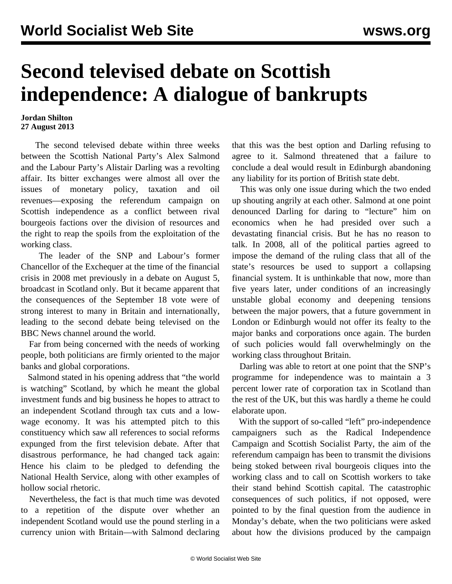## **Second televised debate on Scottish independence: A dialogue of bankrupts**

## **Jordan Shilton 27 August 2013**

 The second televised debate within three weeks between the Scottish National Party's Alex Salmond and the Labour Party's Alistair Darling was a revolting affair. Its bitter exchanges were almost all over the issues of monetary policy, taxation and oil revenues—exposing the referendum campaign on Scottish independence as a conflict between rival bourgeois factions over the division of resources and the right to reap the spoils from the exploitation of the working class.

 The leader of the SNP and Labour's former Chancellor of the Exchequer at the time of the financial crisis in 2008 met previously in a debate on August 5, broadcast in Scotland only. But it became apparent that the consequences of the September 18 vote were of strong interest to many in Britain and internationally, leading to the second debate being televised on the BBC News channel around the world.

 Far from being concerned with the needs of working people, both politicians are firmly oriented to the major banks and global corporations.

 Salmond stated in his opening address that "the world is watching" Scotland, by which he meant the global investment funds and big business he hopes to attract to an independent Scotland through tax cuts and a lowwage economy. It was his attempted pitch to this constituency which saw all references to social reforms expunged from the first television debate. After that disastrous performance, he had changed tack again: Hence his claim to be pledged to defending the National Health Service, along with other examples of hollow social rhetoric.

 Nevertheless, the fact is that much time was devoted to a repetition of the dispute over whether an independent Scotland would use the pound sterling in a currency union with Britain—with Salmond declaring

that this was the best option and Darling refusing to agree to it. Salmond threatened that a failure to conclude a deal would result in Edinburgh abandoning any liability for its portion of British state debt.

 This was only one issue during which the two ended up shouting angrily at each other. Salmond at one point denounced Darling for daring to "lecture" him on economics when he had presided over such a devastating financial crisis. But he has no reason to talk. In 2008, all of the political parties agreed to impose the demand of the ruling class that all of the state's resources be used to support a collapsing financial system. It is unthinkable that now, more than five years later, under conditions of an increasingly unstable global economy and deepening tensions between the major powers, that a future government in London or Edinburgh would not offer its fealty to the major banks and corporations once again. The burden of such policies would fall overwhelmingly on the working class throughout Britain.

 Darling was able to retort at one point that the SNP's programme for independence was to maintain a 3 percent lower rate of corporation tax in Scotland than the rest of the UK, but this was hardly a theme he could elaborate upon.

 With the support of so-called "left" pro-independence campaigners such as the Radical Independence Campaign and Scottish Socialist Party, the aim of the referendum campaign has been to transmit the divisions being stoked between rival bourgeois cliques into the working class and to call on Scottish workers to take their stand behind Scottish capital. The catastrophic consequences of such politics, if not opposed, were pointed to by the final question from the audience in Monday's debate, when the two politicians were asked about how the divisions produced by the campaign